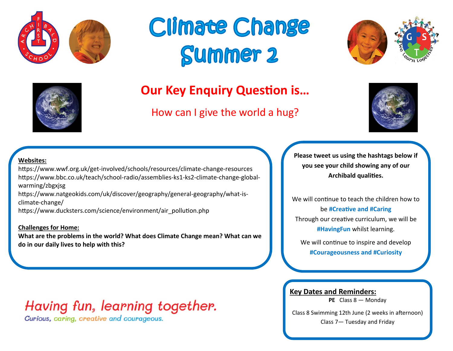







## **Our Key Enquiry Question is…**

How can I give the world a hug?



#### **Websites:**

https://www.wwf.org.uk/get-involved/schools/resources/climate-change-resources https://www.bbc.co.uk/teach/school-radio/assemblies-ks1-ks2-climate-change-globalwarming/zbgxjsg

https://www.natgeokids.com/uk/discover/geography/general-geography/what-isclimate-change/

https://www.ducksters.com/science/environment/air\_pollution.php

#### **Challenges for Home:**

**What are the problems in the world? What does Climate Change mean? What can we do in our daily lives to help with this?** 

## Having fun, learning together.

Curious, caring, creative and courageous.

**Please tweet us using the hashtags below if you see your child showing any of our Archibald qualities.**

We will continue to teach the children how to be **#Creative and #Caring** Through our creative curriculum, we will be **#HavingFun** whilst learning.

We will continue to inspire and develop **#Courageousness and #Curiosity**

**Key Dates and Reminders:**

**PE** Class 8 — Monday

Class 8 Swimming 12th June (2 weeks in afternoon) Class 7— Tuesday and Friday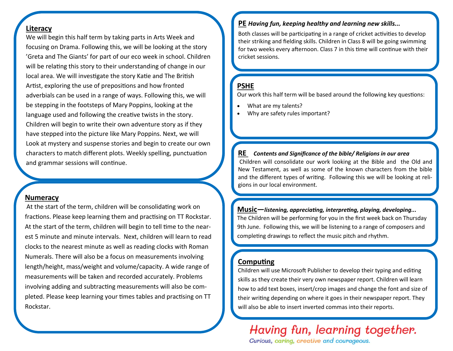#### **Literacy**

We will begin this half term by taking parts in Arts Week and focusing on Drama. Following this, we will be looking at the story 'Greta and The Giants' for part of our eco week in school. Children will be relating this story to their understanding of change in our local area. We will investigate the story Katie and The British Artist, exploring the use of prepositions and how fronted adverbials can be used in a range of ways. Following this, we will be stepping in the footsteps of Mary Poppins, looking at the language used and following the creative twists in the story. Children will begin to write their own adventure story as if they have stepped into the picture like Mary Poppins. Next, we will Look at mystery and suspense stories and begin to create our own characters to match different plots. Weekly spelling, punctuation and grammar sessions will continue.

#### **Numeracy**

At the start of the term, children will be consolidating work on fractions. Please keep learning them and practising on TT Rockstar. At the start of the term, children will begin to tell time to the nearest 5 minute and minute intervals. Next, children will learn to read clocks to the nearest minute as well as reading clocks with Roman Numerals. There will also be a focus on measurements involving length/height, mass/weight and volume/capacity. A wide range of measurements will be taken and recorded accurately. Problems involving adding and subtracting measurements will also be completed. Please keep learning your times tables and practising on TT Rockstar.

#### **PE** *Having fun, keeping healthy and learning new skills...*

Both classes will be participating in a range of cricket activities to develop their striking and fielding skills. Children in Class 8 will be going swimming for two weeks every afternoon. Class 7 in this time will continue with their cricket sessions.

#### **PSHE**

Our work this half term will be based around the following key questions:

- What are my talents?
- Why are safety rules important?

**RE** *Contents and Significance of the bible/ Religions in our area* Children will consolidate our work looking at the Bible and the Old and New Testament, as well as some of the known characters from the bible and the different types of writing. Following this we will be looking at religions in our local environment.

**Music—***listening, appreciating, interpreting, playing, developing...* The Children will be performing for you in the first week back on Thursday 9th June. Following this, we will be listening to a range of composers and completing drawings to reflect the music pitch and rhythm.

#### **Computing**

Children will use Microsoft Publisher to develop their typing and editing skills as they create their very own newspaper report. Children will learn how to add text boxes, insert/crop images and change the font and size of their writing depending on where it goes in their newspaper report. They will also be able to insert inverted commas into their reports.

# Having fun, learning together.

Curious, caring, creative and courageous.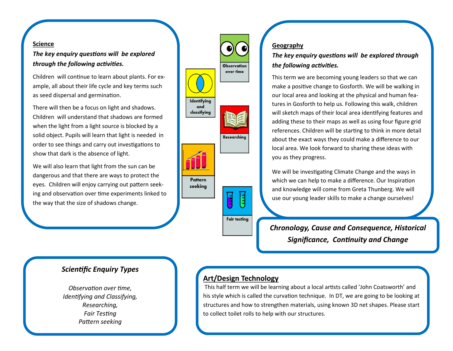#### **Science**

*The key enquiry questions will be explored through the following activities.*

Children will continue to learn about plants. For example, all about their life cycle and key terms such as seed dispersal and germination.

There will then be a focus on light and shadows. Children will understand that shadows are formed when the light from a light source is blocked by a solid object. Pupils will learn that light is needed in order to see things and carry out investigations to show that dark is the absence of light.

We will also learn that light from the sun can be dangerous and that there are ways to protect the eyes. Children will enjoy carrying out pattern seeking and observation over time experiments linked to the way that the size of shadows change.



#### **Geography**

#### *The key enquiry questions will be explored through the following activities.*

This term we are becoming young leaders so that we can make a positive change to Gosforth. We will be walking in our local area and looking at the physical and human features in Gosforth to help us. Following this walk, children will sketch maps of their local area identifying features and adding these to their maps as well as using four figure grid references. Children will be starting to think in more detail about the exact ways they could make a difference to our local area. We look forward to sharing these ideas with you as they progress.

We will be investigating Climate Change and the ways in which we can help to make a difference. Our Inspiration and knowledge will come from Greta Thunberg. We will use our young leader skills to make a change ourselves!

*Chronology, Cause and Consequence, Historical Significance, Continuity and Change*

#### *Scientific Enquiry Types*

*Observation over time, Identifying and Classifying, Researching, Fair Testing Pattern seeking*

#### **Art/Design Technology**

This half term we will be learning about a local artists called 'John Coatsworth' and his style which is called the curvation technique. In DT, we are going to be looking at structures and how to strengthen materials, using known 3D net shapes. Please start to collect toilet rolls to help with our structures.